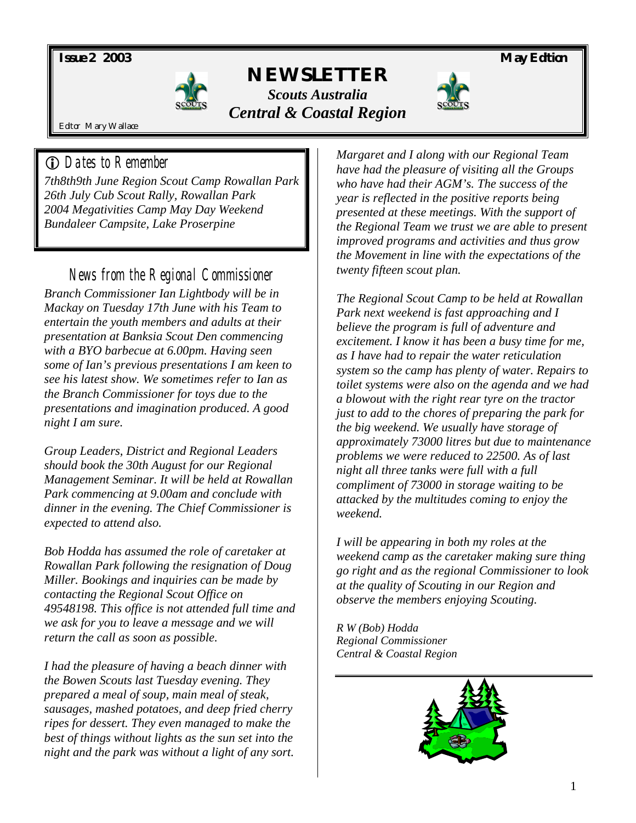*Issue 2 2003 May Edition* 



# *NEWSLETTER Scouts Australia Central & Coastal Region*



Editor Mary Wallace

## ! *Dates to Remember*

*7th8th9th June Region Scout Camp Rowallan Park 26th July Cub Scout Rally, Rowallan Park 2004 Megativities Camp May Day Weekend Bundaleer Campsite, Lake Proserpine* 

## *News from the Regional Commissioner*

*Branch Commissioner Ian Lightbody will be in Mackay on Tuesday 17th June with his Team to entertain the youth members and adults at their presentation at Banksia Scout Den commencing with a BYO barbecue at 6.00pm. Having seen some of Ian's previous presentations I am keen to see his latest show. We sometimes refer to Ian as the Branch Commissioner for toys due to the presentations and imagination produced. A good night I am sure.* 

*Group Leaders, District and Regional Leaders should book the 30th August for our Regional Management Seminar. It will be held at Rowallan Park commencing at 9.00am and conclude with dinner in the evening. The Chief Commissioner is expected to attend also.* 

*Bob Hodda has assumed the role of caretaker at Rowallan Park following the resignation of Doug Miller. Bookings and inquiries can be made by contacting the Regional Scout Office on 49548198. This office is not attended full time and we ask for you to leave a message and we will return the call as soon as possible.* 

*I had the pleasure of having a beach dinner with the Bowen Scouts last Tuesday evening. They prepared a meal of soup, main meal of steak, sausages, mashed potatoes, and deep fried cherry ripes for dessert. They even managed to make the best of things without lights as the sun set into the night and the park was without a light of any sort.* 

*Margaret and I along with our Regional Team have had the pleasure of visiting all the Groups who have had their AGM's. The success of the year is reflected in the positive reports being presented at these meetings. With the support of the Regional Team we trust we are able to present improved programs and activities and thus grow the Movement in line with the expectations of the twenty fifteen scout plan.* 

*The Regional Scout Camp to be held at Rowallan Park next weekend is fast approaching and I believe the program is full of adventure and excitement. I know it has been a busy time for me, as I have had to repair the water reticulation system so the camp has plenty of water. Repairs to toilet systems were also on the agenda and we had a blowout with the right rear tyre on the tractor just to add to the chores of preparing the park for the big weekend. We usually have storage of approximately 73000 litres but due to maintenance problems we were reduced to 22500. As of last night all three tanks were full with a full compliment of 73000 in storage waiting to be attacked by the multitudes coming to enjoy the weekend.* 

*I will be appearing in both my roles at the weekend camp as the caretaker making sure thing go right and as the regional Commissioner to look at the quality of Scouting in our Region and observe the members enjoying Scouting.* 

*R W (Bob) Hodda Regional Commissioner Central & Coastal Region* 

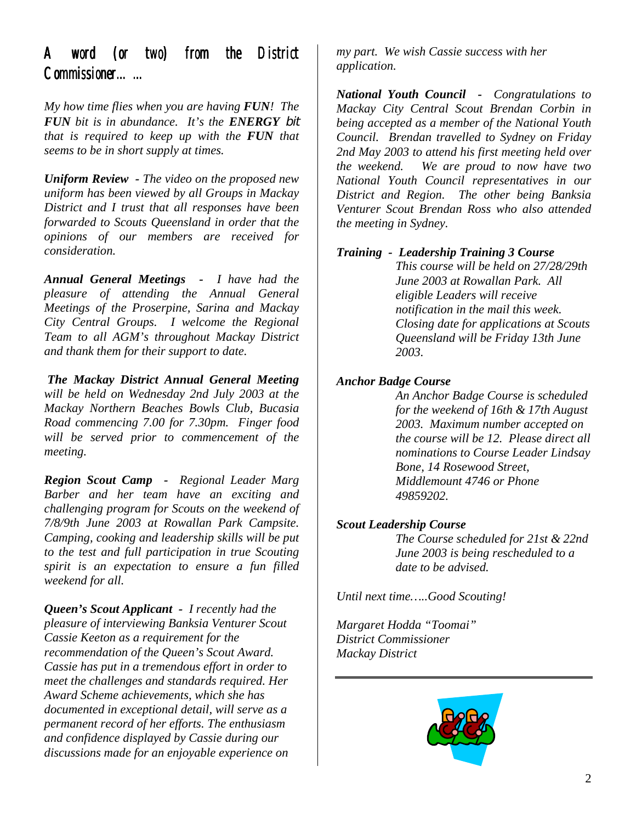## *A word (or two) from the District Commissioner…… Commissioner……*

*My how time flies when you are having FUN! The FUN bit is in abundance. It's the ENERGY bit that is required to keep up with the FUN that seems to be in short supply at times.* 

*Uniform Review - The video on the proposed new uniform has been viewed by all Groups in Mackay District and I trust that all responses have been forwarded to Scouts Queensland in order that the opinions of our members are received for consideration.* 

*Annual General Meetings - I have had the pleasure of attending the Annual General Meetings of the Proserpine, Sarina and Mackay City Central Groups. I welcome the Regional Team to all AGM's throughout Mackay District and thank them for their support to date.* 

*The Mackay District Annual General Meeting will be held on Wednesday 2nd July 2003 at the Mackay Northern Beaches Bowls Club, Bucasia Road commencing 7.00 for 7.30pm. Finger food will be served prior to commencement of the meeting.* 

*Region Scout Camp - Regional Leader Marg Barber and her team have an exciting and challenging program for Scouts on the weekend of 7/8/9th June 2003 at Rowallan Park Campsite. Camping, cooking and leadership skills will be put to the test and full participation in true Scouting spirit is an expectation to ensure a fun filled weekend for all.* 

*Queen's Scout Applicant - I recently had the pleasure of interviewing Banksia Venturer Scout Cassie Keeton as a requirement for the recommendation of the Queen's Scout Award. Cassie has put in a tremendous effort in order to meet the challenges and standards required. Her Award Scheme achievements, which she has documented in exceptional detail, will serve as a permanent record of her efforts. The enthusiasm and confidence displayed by Cassie during our discussions made for an enjoyable experience on*  *my part. We wish Cassie success with her application.* 

*National Youth Council - Congratulations to Mackay City Central Scout Brendan Corbin in being accepted as a member of the National Youth Council. Brendan travelled to Sydney on Friday 2nd May 2003 to attend his first meeting held over the weekend. We are proud to now have two National Youth Council representatives in our District and Region. The other being Banksia Venturer Scout Brendan Ross who also attended the meeting in Sydney.* 

#### *Training - Leadership Training 3 Course*

*This course will be held on 27/28/29th June 2003 at Rowallan Park. All eligible Leaders will receive notification in the mail this week. Closing date for applications at Scouts Queensland will be Friday 13th June 2003.* 

#### *Anchor Badge Course*

*An Anchor Badge Course is scheduled for the weekend of 16th & 17th August 2003. Maximum number accepted on the course will be 12. Please direct all nominations to Course Leader Lindsay Bone, 14 Rosewood Street, Middlemount 4746 or Phone 49859202.* 

#### *Scout Leadership Course*

*The Course scheduled for 21st & 22nd June 2003 is being rescheduled to a date to be advised.* 

*Until next time…..Good Scouting!* 

*Margaret Hodda "Toomai" District Commissioner Mackay District* 

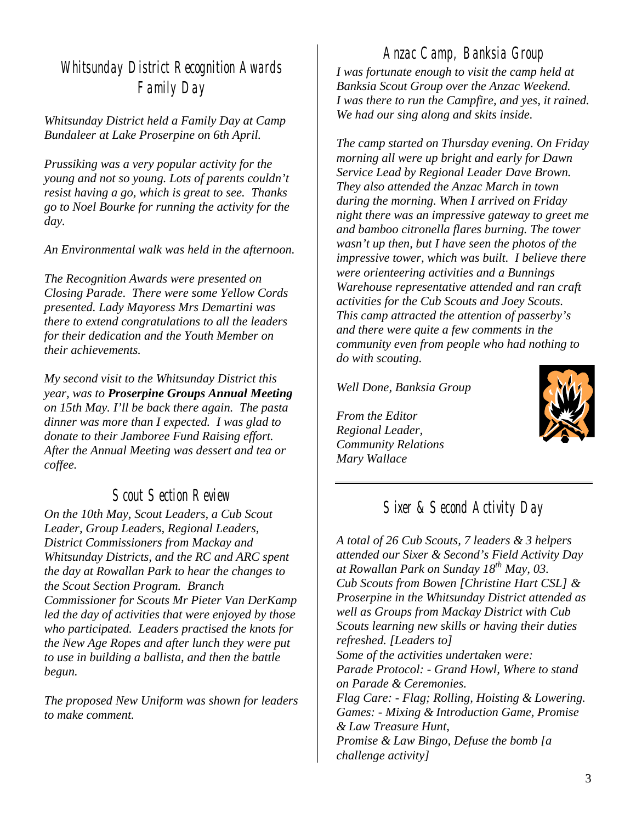# *Whitsunday District Recognition Awards Family Day*

*Whitsunday District held a Family Day at Camp Bundaleer at Lake Proserpine on 6th April.* 

*Prussiking was a very popular activity for the young and not so young. Lots of parents couldn't resist having a go, which is great to see. Thanks go to Noel Bourke for running the activity for the day.* 

*An Environmental walk was held in the afternoon.* 

*The Recognition Awards were presented on Closing Parade. There were some Yellow Cords presented. Lady Mayoress Mrs Demartini was there to extend congratulations to all the leaders for their dedication and the Youth Member on their achievements.* 

*My second visit to the Whitsunday District this year, was to Proserpine Groups Annual Meeting on 15th May. I'll be back there again. The pasta dinner was more than I expected. I was glad to donate to their Jamboree Fund Raising effort. After the Annual Meeting was dessert and tea or coffee.* 

### *Scout Section Review*

*On the 10th May, Scout Leaders, a Cub Scout Leader, Group Leaders, Regional Leaders, District Commissioners from Mackay and Whitsunday Districts, and the RC and ARC spent the day at Rowallan Park to hear the changes to the Scout Section Program. Branch Commissioner for Scouts Mr Pieter Van DerKamp led the day of activities that were enjoyed by those who participated. Leaders practised the knots for the New Age Ropes and after lunch they were put to use in building a ballista, and then the battle begun.* 

*The proposed New Uniform was shown for leaders to make comment.* 

*Anzac Camp, Banksia Group I was fortunate enough to visit the camp held at Banksia Scout Group over the Anzac Weekend. I was there to run the Campfire, and yes, it rained. We had our sing along and skits inside.* 

*The camp started on Thursday evening. On Friday morning all were up bright and early for Dawn Service Lead by Regional Leader Dave Brown. They also attended the Anzac March in town during the morning. When I arrived on Friday night there was an impressive gateway to greet me and bamboo citronella flares burning. The tower wasn't up then, but I have seen the photos of the impressive tower, which was built. I believe there were orienteering activities and a Bunnings Warehouse representative attended and ran craft activities for the Cub Scouts and Joey Scouts. This camp attracted the attention of passerby's and there were quite a few comments in the community even from people who had nothing to do with scouting.* 

*Well Done, Banksia Group* 

*From the Editor Regional Leader, Community Relations Mary Wallace* 



### *Sixer & Second Activity Day*

*A total of 26 Cub Scouts, 7 leaders & 3 helpers attended our Sixer & Second's Field Activity Day at Rowallan Park on Sunday 18th May, 03. Cub Scouts from Bowen [Christine Hart CSL] & Proserpine in the Whitsunday District attended as well as Groups from Mackay District with Cub Scouts learning new skills or having their duties refreshed. [Leaders to] Some of the activities undertaken were: Parade Protocol: - Grand Howl, Where to stand on Parade & Ceremonies. Flag Care: - Flag; Rolling, Hoisting & Lowering. Games: - Mixing & Introduction Game, Promise & Law Treasure Hunt, Promise & Law Bingo, Defuse the bomb [a challenge activity]*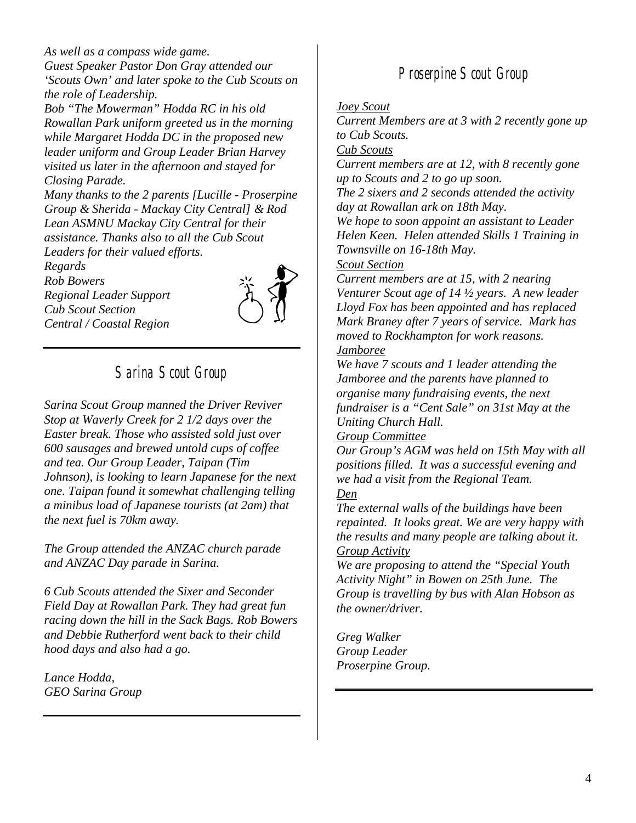*As well as a compass wide game. Guest Speaker Pastor Don Gray attended our 'Scouts Own' and later spoke to the Cub Scouts on the role of Leadership.* 

*Bob "The Mowerman" Hodda RC in his old Rowallan Park uniform greeted us in the morning while Margaret Hodda DC in the proposed new leader uniform and Group Leader Brian Harvey visited us later in the afternoon and stayed for Closing Parade.* 

*Many thanks to the 2 parents [Lucille - Proserpine Group & Sherida - Mackay City Central] & Rod Lean ASMNU Mackay City Central for their assistance. Thanks also to all the Cub Scout Leaders for their valued efforts.* 

*Regards Rob Bowers Regional Leader Support Cub Scout Section Central / Coastal Region* 



# *Sarina Scout Group*

*Sarina Scout Group manned the Driver Reviver Stop at Waverly Creek for 2 1/2 days over the Easter break. Those who assisted sold just over 600 sausages and brewed untold cups of coffee and tea. Our Group Leader, Taipan (Tim Johnson), is looking to learn Japanese for the next one. Taipan found it somewhat challenging telling a minibus load of Japanese tourists (at 2am) that the next fuel is 70km away.* 

*The Group attended the ANZAC church parade and ANZAC Day parade in Sarina.* 

*6 Cub Scouts attended the Sixer and Seconder Field Day at Rowallan Park. They had great fun racing down the hill in the Sack Bags. Rob Bowers and Debbie Rutherford went back to their child hood days and also had a go.* 

*Lance Hodda, GEO Sarina Group* 

## *Proserpine Scout Group*

#### *Joey Scout*

*Current Members are at 3 with 2 recently gone up to Cub Scouts.* 

*Cub Scouts*

*Current members are at 12, with 8 recently gone up to Scouts and 2 to go up soon.* 

*The 2 sixers and 2 seconds attended the activity day at Rowallan ark on 18th May.* 

*We hope to soon appoint an assistant to Leader Helen Keen. Helen attended Skills 1 Training in Townsville on 16-18th May.* 

*Scout Section*

*Current members are at 15, with 2 nearing Venturer Scout age of 14 ½ years. A new leader Lloyd Fox has been appointed and has replaced Mark Braney after 7 years of service. Mark has moved to Rockhampton for work reasons.* 

### *Jamboree*

*We have 7 scouts and 1 leader attending the Jamboree and the parents have planned to organise many fundraising events, the next fundraiser is a "Cent Sale" on 31st May at the Uniting Church Hall.* 

#### *Group Committee*

*Our Group's AGM was held on 15th May with all positions filled. It was a successful evening and we had a visit from the Regional Team. Den*

*The external walls of the buildings have been repainted. It looks great. We are very happy with the results and many people are talking about it. Group Activity*

*We are proposing to attend the "Special Youth Activity Night" in Bowen on 25th June. The Group is travelling by bus with Alan Hobson as the owner/driver.* 

*Greg Walker Group Leader Proserpine Group.*